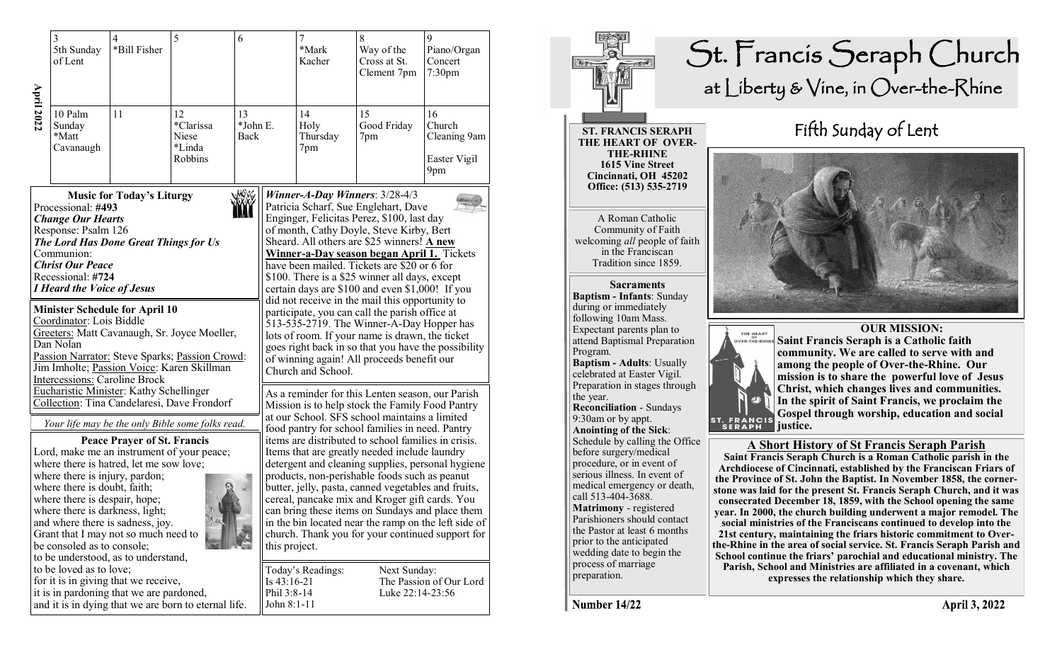|                                                                                                                                                                                                                                                                                                                                                                                                                                           | 3<br>5th Sunday<br>of Lent                                                                                                                                                                               | $\overline{4}$<br>*Bill Fisher                                                                                                                                                                                                              | 5                                                                                                                                                                                           | 6                                                                                                                                                                                                                                                                                                                                                                                                                                                                                                                                                                                                                                                                                                                                    |                                           | 7<br>*Mark<br>Kacher                                                                                                                                                                                                                                                                                                                                                                                                                                                                                                                                                                                                                                                                                                         | 8<br>Way of the<br>Cross at St.<br>Clement 7pm | 9<br>Piano/Organ<br>Concert<br>7:30 <sub>pm</sub>   |  |
|-------------------------------------------------------------------------------------------------------------------------------------------------------------------------------------------------------------------------------------------------------------------------------------------------------------------------------------------------------------------------------------------------------------------------------------------|----------------------------------------------------------------------------------------------------------------------------------------------------------------------------------------------------------|---------------------------------------------------------------------------------------------------------------------------------------------------------------------------------------------------------------------------------------------|---------------------------------------------------------------------------------------------------------------------------------------------------------------------------------------------|--------------------------------------------------------------------------------------------------------------------------------------------------------------------------------------------------------------------------------------------------------------------------------------------------------------------------------------------------------------------------------------------------------------------------------------------------------------------------------------------------------------------------------------------------------------------------------------------------------------------------------------------------------------------------------------------------------------------------------------|-------------------------------------------|------------------------------------------------------------------------------------------------------------------------------------------------------------------------------------------------------------------------------------------------------------------------------------------------------------------------------------------------------------------------------------------------------------------------------------------------------------------------------------------------------------------------------------------------------------------------------------------------------------------------------------------------------------------------------------------------------------------------------|------------------------------------------------|-----------------------------------------------------|--|
| <b>April 2022</b>                                                                                                                                                                                                                                                                                                                                                                                                                         | 10 Palm<br>Sunday<br>*Matt<br>Cavanaugh                                                                                                                                                                  | 11                                                                                                                                                                                                                                          | 12<br>*Clarissa<br>Niese<br>*Linda<br>Robbins                                                                                                                                               | 13<br>*John E.<br>Back                                                                                                                                                                                                                                                                                                                                                                                                                                                                                                                                                                                                                                                                                                               |                                           | 14<br>Holy<br>Thursday<br>7pm                                                                                                                                                                                                                                                                                                                                                                                                                                                                                                                                                                                                                                                                                                | 15<br>Good Friday<br>7pm                       | 16<br>Church<br>Cleaning 9am<br>Easter Vigil<br>9pm |  |
| <b>Music for Today's Liturgy</b><br>Processional: #493<br><b>Change Our Hearts</b><br>Response: Psalm 126<br>The Lord Has Done Great Things for Us<br>Communion:<br><b>Christ Our Peace</b><br>Recessional: #724<br><b>I Heard the Voice of Jesus</b><br><b>Minister Schedule for April 10</b><br>Coordinator: Lois Biddle<br>Greeters: Matt Cavanaugh, Sr. Joyce Moeller,<br>Dan Nolan<br>Passion Narrator: Steve Sparks; Passion Crowd: |                                                                                                                                                                                                          |                                                                                                                                                                                                                                             |                                                                                                                                                                                             |                                                                                                                                                                                                                                                                                                                                                                                                                                                                                                                                                                                                                                                                                                                                      |                                           | Winner-A-Day Winners: $3/28-4/3$<br>Patricia Scharf, Sue Englehart, Dave<br>Enginger, Felicitas Perez, \$100, last day<br>of month, Cathy Doyle, Steve Kirby, Bert<br>Sheard. All others are \$25 winners! A new<br>Winner-a-Day season began April 1. Tickets<br>have been mailed. Tickets are \$20 or 6 for<br>\$100. There is a \$25 winner all days, except<br>certain days are \$100 and even \$1,000! If you<br>did not receive in the mail this opportunity to<br>participate, you can call the parish office at<br>513-535-2719. The Winner-A-Day Hopper has<br>lots of room. If your name is drawn, the ticket<br>goes right back in so that you have the possibility<br>of winning again! All proceeds benefit our |                                                |                                                     |  |
|                                                                                                                                                                                                                                                                                                                                                                                                                                           | <b>Intercessions: Caroline Brock</b><br>where there is injury, pardon;<br>where there is doubt, faith;<br>where there is despair, hope;<br>where there is darkness, light;<br>be consoled as to console; | Eucharistic Minister: Kathy Schellinger<br><b>Peace Prayer of St. Francis</b><br>where there is hatred, let me sow love;<br>and where there is sadness, joy.<br>Grant that I may not so much need to<br>to be understood, as to understand, | Jim Imholte; Passion Voice: Karen Skillman<br>Collection: Tina Candelaresi, Dave Frondorf<br>Your life may be the only Bible some folks read.<br>Lord, make me an instrument of your peace; | Church and School.<br>As a reminder for this Lenten season, our Parish<br>Mission is to help stock the Family Food Pantry<br>at our School. SFS school maintains a limited<br>food pantry for school families in need. Pantry<br>items are distributed to school families in crisis.<br>Items that are greatly needed include laundry<br>detergent and cleaning supplies, personal hygiene<br>products, non-perishable foods such as peanut<br>butter, jelly, pasta, canned vegetables and fruits,<br>cereal, pancake mix and Kroger gift cards. You<br>can bring these items on Sundays and place them<br>in the bin located near the ramp on the left side of<br>church. Thank you for your continued support for<br>this project. |                                           |                                                                                                                                                                                                                                                                                                                                                                                                                                                                                                                                                                                                                                                                                                                              |                                                |                                                     |  |
|                                                                                                                                                                                                                                                                                                                                                                                                                                           | to be loved as to love;                                                                                                                                                                                  | for it is in giving that we receive,<br>it is in pardoning that we are pardoned,                                                                                                                                                            | and it is in dying that we are born to eternal life.                                                                                                                                        |                                                                                                                                                                                                                                                                                                                                                                                                                                                                                                                                                                                                                                                                                                                                      | Is 43:16-21<br>Phil 3:8-14<br>John 8:1-11 | Today's Readings:                                                                                                                                                                                                                                                                                                                                                                                                                                                                                                                                                                                                                                                                                                            | Next Sunday:<br>Luke 22:14-23:56               | The Passion of Our Lord                             |  |